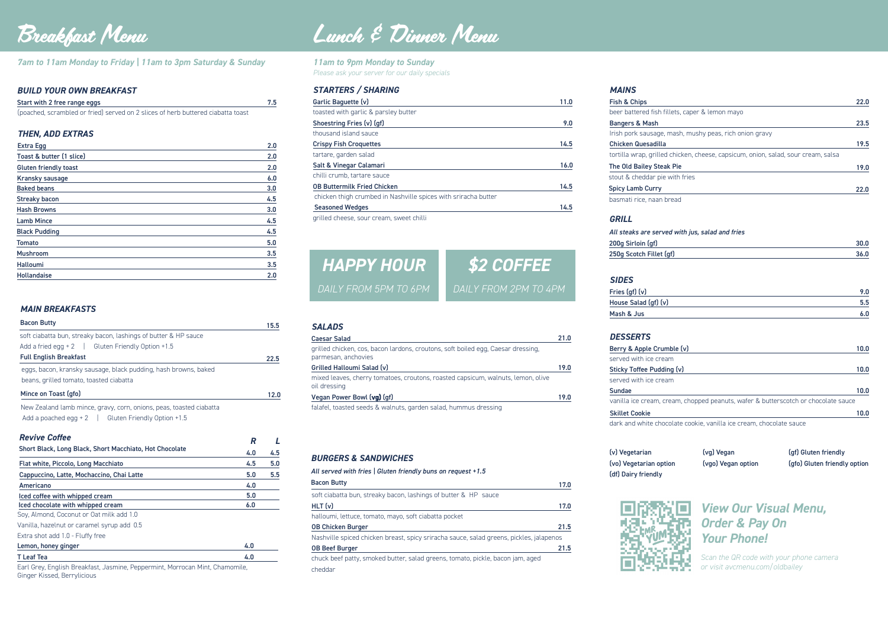*7am to 11am Monday to Friday | 11am to 3pm Saturday & Sunday*

#### *BUILD YOUR OWN BREAKFAST*

| Start with 2 free range eggs                                                     | 7.5 |
|----------------------------------------------------------------------------------|-----|
| (poached, scrambled or fried) served on 2 slices of herb buttered ciabatta toast |     |

#### *THEN, ADD EXTRAS*

vanilla ice cream, crea

**Skillet Cookie** 

Earl Grey, English Breakfast, Jasmine, Peppermint, Morrocan Mint, Chamomile, Ginger Kissed, Berrylicious

stout & cheddar pie w Spicy Lamb Curry basmati rice, naan bread

| <b>SALADS</b>                                                                                           |      |
|---------------------------------------------------------------------------------------------------------|------|
| <b>Caesar Salad</b>                                                                                     | 21.0 |
| grilled chicken, cos, bacon lardons, croutons, soft boiled egg, Caesar dressing,<br>parmesan, anchovies |      |
| Grilled Halloumi Salad (v)                                                                              | 19.0 |
| mixed leaves, cherry tomatoes, croutons, roasted capsicum, walnuts, lemon, olive<br>oil dressing        |      |
| Vegan Power Bowl (vg) (gf)                                                                              | 19.0 |
| falafel, toasted seeds & walnuts, garden salad, hummus dressing                                         |      |

#### *BURGERS & SANDWICHES*

| All served with fries   Gluten friendly buns on request +1.5                            |      |
|-----------------------------------------------------------------------------------------|------|
| <b>Bacon Butty</b>                                                                      | 17.0 |
| soft ciabatta bun, streaky bacon, lashings of butter & HP sauce                         |      |
| $HLT$ (v)                                                                               | 17.0 |
| halloumi, lettuce, tomato, mayo, soft ciabatta pocket                                   |      |
| <b>OB Chicken Burger</b>                                                                | 21.5 |
| Nashville spiced chicken breast, spicy sriracha sauce, salad greens, pickles, jalapenos |      |
| <b>OB Beef Burger</b>                                                                   | 21.5 |
| chuck beef patty, smoked butter, salad greens, tomato, pickle, bacon jam, aged          |      |
| cheddar                                                                                 |      |

#### *MAINS*

| Fish & Chips                                                                      | 22.0 |
|-----------------------------------------------------------------------------------|------|
| beer battered fish fillets, caper & lemon mayo                                    |      |
| <b>Bangers &amp; Mash</b>                                                         | 23.5 |
| Irish pork sausage, mash, mushy peas, rich onion gravy                            |      |
| <b>Chicken Quesadilla</b>                                                         | 19.5 |
| tortilla wrap, grilled chicken, cheese, capsicum, onion, salad, sour cream, salsa |      |
| The Old Bailey Steak Pie                                                          | 19.0 |
| stout & cheddar pie with fries                                                    |      |
| <b>Spicy Lamb Curry</b>                                                           | 22.0 |

#### All steaks are served with jus, salad and fries

#### *GRILL*

200g Sirloin (gf) 250g Scotch Fillet (gf

|    | $\overline{\phantom{a}}$<br>$\cdot$ |
|----|-------------------------------------|
| f) | $\cdot$                             |
|    |                                     |

#### *SIDES*

Fries  $(gf)(v)$ House Salad (gf) (v) Mash & Jus

| 9.0 |
|-----|
| 5.5 |
| 6.0 |
|     |

| <b>STARTERS / SHARING</b>                                      |      |
|----------------------------------------------------------------|------|
| Garlic Baquette (v)                                            | 11.0 |
| toasted with garlic & parsley butter                           |      |
| Shoestring Fries (v) (gf)                                      | 9.0  |
| thousand island sauce                                          |      |
| <b>Crispy Fish Croquettes</b>                                  | 14.5 |
| tartare, garden salad                                          |      |
| Salt & Vinegar Calamari                                        | 16.0 |
| chilli crumb, tartare sauce                                    |      |
| <b>OB Buttermilk Fried Chicken</b>                             | 14.5 |
| chicken thigh crumbed in Nashville spices with sriracha butter |      |
| <b>Seasoned Wedges</b>                                         | 14.5 |
| grilled cheese, sour cream, sweet chilli                       |      |

#### *DESSERTS*

Berry & Apple Crumb served with ice crean

| Berry & Apple Crumble (v)                                                          | 10.0 |
|------------------------------------------------------------------------------------|------|
| served with ice cream                                                              |      |
| Sticky Toffee Pudding (v)                                                          | 10.0 |
| served with ice cream                                                              |      |
| <b>Sundae</b>                                                                      | 10.0 |
| vanilla ice cream, cream, chopped peanuts, wafer & butterscotch or chocolate sauce |      |

| <b>Bacon Butty</b>                                                  | 15.5 |
|---------------------------------------------------------------------|------|
| soft ciabatta bun, streaky bacon, lashings of butter & HP sauce     |      |
| Add a fried egg $+2$   Gluten Friendly Option $+1.5$                |      |
| <b>Full English Breakfast</b>                                       | 22.5 |
| eggs, bacon, kransky sausage, black pudding, hash browns, baked     |      |
| beans, grilled tomato, toasted ciabatta                             |      |
| Mince on Toast (gfo)                                                | 12.0 |
| New Zealand lamb mince, gravy, corn, onions, peas, toasted ciabatta |      |
| Add a poached egg $+2$   Gluten Friendly Option $+1.5$              |      |

10.0



| <b>Extra Egg</b>             | 2.0 |
|------------------------------|-----|
| Toast & butter (1 slice)     | 2.0 |
| <b>Gluten friendly toast</b> | 2.0 |
| <b>Kransky sausage</b>       | 6.0 |
| <b>Baked beans</b>           | 3.0 |
| <b>Streaky bacon</b>         | 4.5 |
| <b>Hash Browns</b>           | 3.0 |
| <b>Lamb Mince</b>            | 4.5 |
| <b>Black Pudding</b>         | 4.5 |
| Tomato                       | 5.0 |
| <b>Mushroom</b>              | 3.5 |
| <b>Halloumi</b>              | 3.5 |
| <b>Hollandaise</b>           | 2.0 |

dark and white chocolate cookie, vanilla ice cream, chocolate sauce

(v) Vegetarian (vg) Vegan (gf) Gluten friendly (df) Dairy friendly



(vo) Vegetarian option (vgo) Vegan option (gfo) Gluten friendly option

| <i><b>Revive Coffee</b></i>                             | R   |     |
|---------------------------------------------------------|-----|-----|
| Short Black, Long Black, Short Macchiato, Hot Chocolate | 4.0 | 4.5 |
| Flat white, Piccolo, Long Macchiato                     | 4.5 | 5.0 |
| Cappuccino, Latte, Mochaccino, Chai Latte               | 5.0 | 5.5 |
| Americano                                               | 4.0 |     |
| Iced coffee with whipped cream                          | 5.0 |     |
| Iced chocolate with whipped cream                       | 6.0 |     |
| Soy, Almond, Coconut or Oat milk add 1.0                |     |     |
| Vanilla, hazelnut or caramel syrup add 0.5              |     |     |
| Extra shot add 1.0 - Fluffy free                        |     |     |
| Lemon, honey ginger                                     | 4.0 |     |
| <b>T</b> Leaf Tea                                       | 4.0 |     |
|                                                         |     |     |

*11am to 9pm Monday to Sunday Please ask your server for our daily specials*

#### *MAIN BREAKFASTS*

#### *Revive Coffee*

*View Our Visual Menu, Order & Pay On Your Phone!*

*Scan the QR code with your phone camera or visit avcmenu.com/oldbailey*



# *HAPPY HOUR*

*DAILY FROM 2PM TO 4PM DAILY FROM 5PM TO 6PM*

## Breakfast Menu Lunch & Dinner Menu